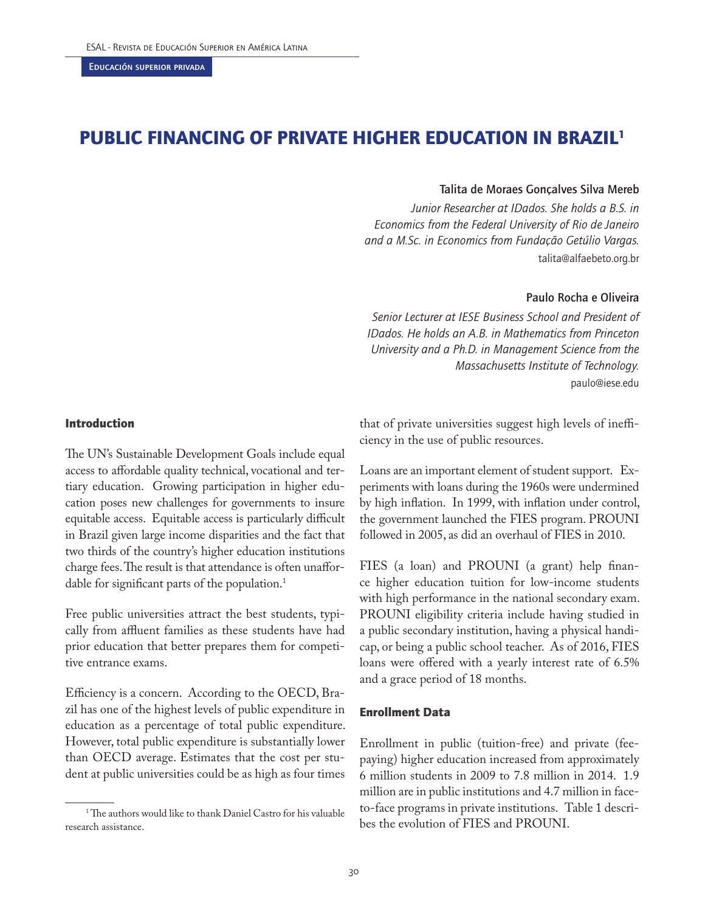# PUBLIC FINANCING OF PRIVATE HIGHER EDUCATION IN BRAZIL<sup>1</sup>

## Talita de Moraes Gonçalves Silva Mereb

*Junior Researcher at IDados. She holds a B.S. in Economics from the Federal University of Rio de Janeiro and a M.Sc. in Economics from Fundação Getúlio Vargas.*  talita@alfaebeto.org.br

### Paulo Rocha e Oliveira

*Senior Lecturer at IESE Business School and President of IDados. He holds an A.B. in Mathematics from Princeton University and a Ph.D. in Management Science from the Massachusetts Institute of Technology.*  paulo@iese.edu

#### Introduction

The UN's Sustainable Development Goals include equal access to affordable quality technical, vocational and tertiary education. Growing participation in higher education poses new challenges for governments to insure equitable access. Equitable access is particularly difficult in Brazil given large income disparities and the fact that two thirds of the country's higher education institutions charge fees. The result is that attendance is often unaffordable for significant parts of the population.<sup>1</sup>

Free public universities attract the best students, typically from affluent families as these students have had prior education that better prepares them for competitive entrance exams.

Efficiency is a concern. According to the OECD, Brazil has one of the highest levels of public expenditure in education as a percentage of total public expenditure. However, total public expenditure is substantially lower than OECD average. Estimates that the cost per student at public universities could be as high as four times that of private universities suggest high levels of inefficiency in the use of public resources.

Loans are an important element of student support. Experiments with loans during the 1960s were undermined by high inflation. In 1999, with inflation under control, the government launched the FIES program. PROUNI followed in 2005, as did an overhaul of FIES in 2010.

FIES (a loan) and PROUNI (a grant) help finance higher education tuition for low-income students with high performance in the national secondary exam. PROUNI eligibility criteria include having studied in a public secondary institution, having a physical handicap, or being a public school teacher. As of 2016, FIES loans were offered with a yearly interest rate of 6.5% and a grace period of 18 months.

#### Enrollment Data

Enrollment in public (tuition-free) and private (feepaying) higher education increased from approximately 6 million students in 2009 to 7.8 million in 2014. 1.9 million are in public institutions and 4.7 million in faceto-face programs in private institutions. Table 1 describes the evolution of FIES and PROUNI.

<sup>1</sup> The authors would like to thank Daniel Castro for his valuable research assistance.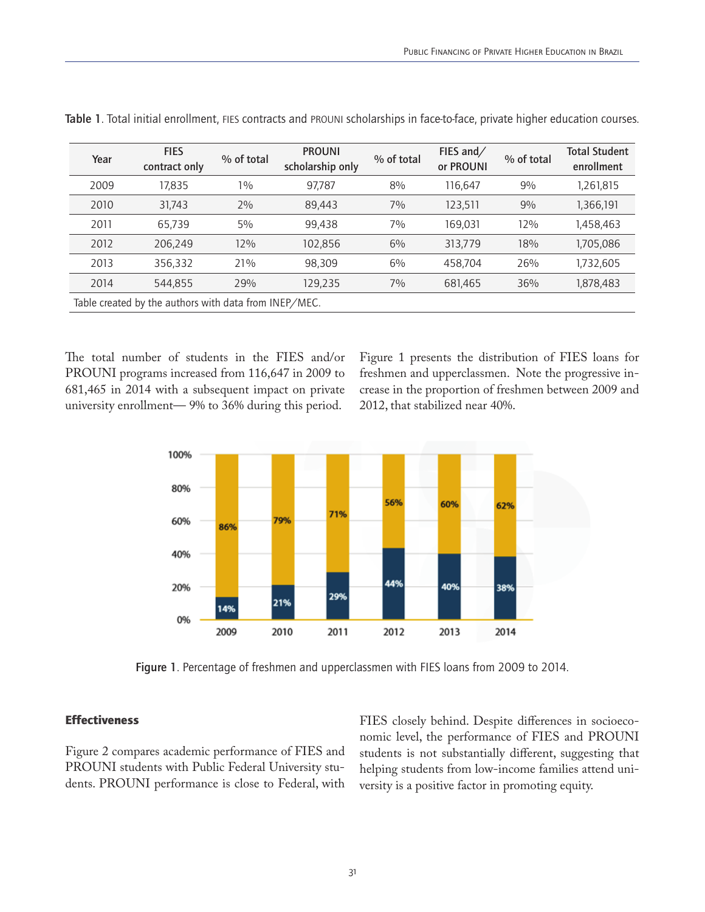| Year                                                  | <b>FIES</b><br>contract only | % of total | <b>PROUNI</b><br>scholarship only | % of total | FIES and/<br>or PROUNI | % of total | <b>Total Student</b><br>enrollment |  |
|-------------------------------------------------------|------------------------------|------------|-----------------------------------|------------|------------------------|------------|------------------------------------|--|
| 2009                                                  | 17.835                       | $1\%$      | 97,787                            | 8%         | 116.647                | 9%         | 1,261,815                          |  |
| 2010                                                  | 31,743                       | 2%         | 89,443                            | 7%         | 123,511                | 9%         | 1,366,191                          |  |
| 2011                                                  | 65,739                       | 5%         | 99,438                            | 7%         | 169,031                | 12%        | 1,458,463                          |  |
| 2012                                                  | 206.249                      | 12%        | 102,856                           | 6%         | 313.779                | 18%        | 1,705,086                          |  |
| 2013                                                  | 356,332                      | 21%        | 98.309                            | 6%         | 458,704                | 26%        | 1,732,605                          |  |
| 2014                                                  | 544,855                      | 29%        | 129,235                           | 7%         | 681,465                | 36%        | 1,878,483                          |  |
| Table created by the authors with data from INEP/MEC. |                              |            |                                   |            |                        |            |                                    |  |

Table 1. Total initial enrollment, FIES contracts and PROUNI scholarships in face-to-face, private higher education courses.

The total number of students in the FIES and/or PROUNI programs increased from 116,647 in 2009 to 681,465 in 2014 with a subsequent impact on private university enrollment— 9% to 36% during this period.

Figure 1 presents the distribution of FIES loans for freshmen and upperclassmen. Note the progressive increase in the proportion of freshmen between 2009 and 2012, that stabilized near 40%.



Figure 1. Percentage of freshmen and upperclassmen with FIES loans from 2009 to 2014.

## **Effectiveness**

Figure 2 compares academic performance of FIES and PROUNI students with Public Federal University students. PROUNI performance is close to Federal, with FIES closely behind. Despite differences in socioeconomic level, the performance of FIES and PROUNI students is not substantially different, suggesting that helping students from low-income families attend university is a positive factor in promoting equity.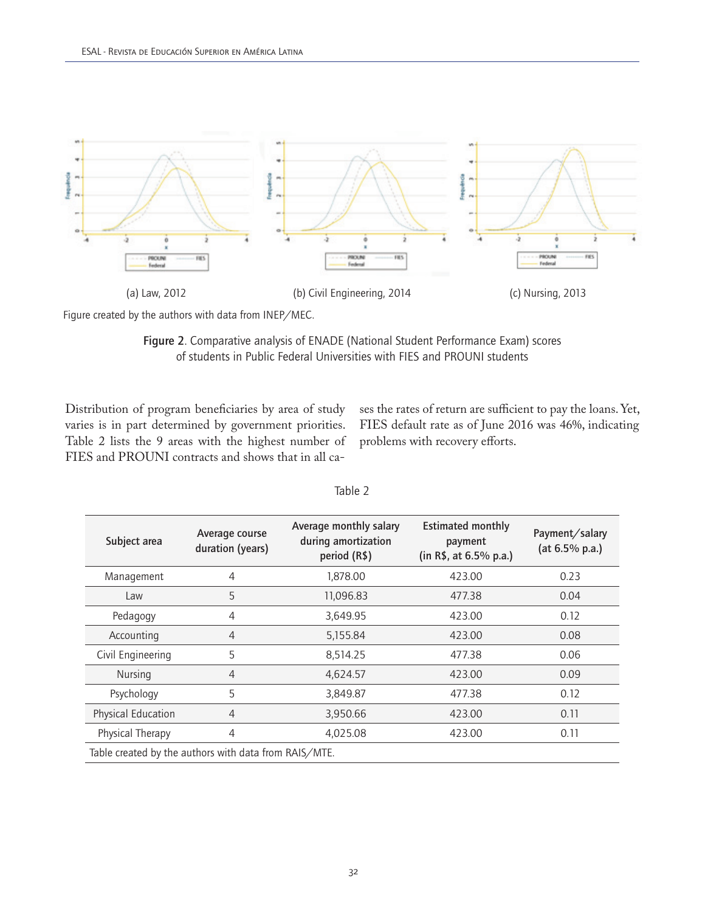

Figure created by the authors with data from INEP/MEC.

Figure 2. Comparative analysis of ENADE (National Student Performance Exam) scores of students in Public Federal Universities with FIES and PROUNI students

Distribution of program beneficiaries by area of study varies is in part determined by government priorities. Table 2 lists the 9 areas with the highest number of FIES and PROUNI contracts and shows that in all cases the rates of return are sufficient to pay the loans. Yet, FIES default rate as of June 2016 was 46%, indicating problems with recovery efforts.

| Subject area                                          | Average course<br>duration (years) | Average monthly salary<br>during amortization<br>period (R\$) | <b>Estimated monthly</b><br>payment<br>(in R\$, at 6.5% p.a.) | Payment/salary<br>(at 6.5% p.a.) |  |  |
|-------------------------------------------------------|------------------------------------|---------------------------------------------------------------|---------------------------------------------------------------|----------------------------------|--|--|
| Management                                            | 4                                  | 1,878.00                                                      | 423.00                                                        | 0.23                             |  |  |
| Law                                                   | 5                                  | 11,096.83                                                     | 477.38                                                        | 0.04                             |  |  |
| Pedagogy                                              | 4                                  | 3,649.95                                                      | 423.00                                                        | 0.12                             |  |  |
| Accounting                                            | $\overline{4}$                     | 5,155.84                                                      | 423.00                                                        | 0.08                             |  |  |
| Civil Engineering                                     | 5                                  | 8,514.25                                                      | 477.38                                                        | 0.06                             |  |  |
| Nursing                                               | $\overline{4}$                     | 4,624.57                                                      | 423.00                                                        | 0.09                             |  |  |
| Psychology                                            | 5                                  | 3,849.87                                                      | 477.38                                                        | 0.12                             |  |  |
| Physical Education                                    | $\overline{4}$                     | 3,950.66                                                      | 423.00                                                        | 0.11                             |  |  |
| Physical Therapy                                      | $\overline{4}$                     | 4,025.08                                                      | 423.00                                                        | 0.11                             |  |  |
| Table created by the authors with data from RAIS/MTE. |                                    |                                                               |                                                               |                                  |  |  |